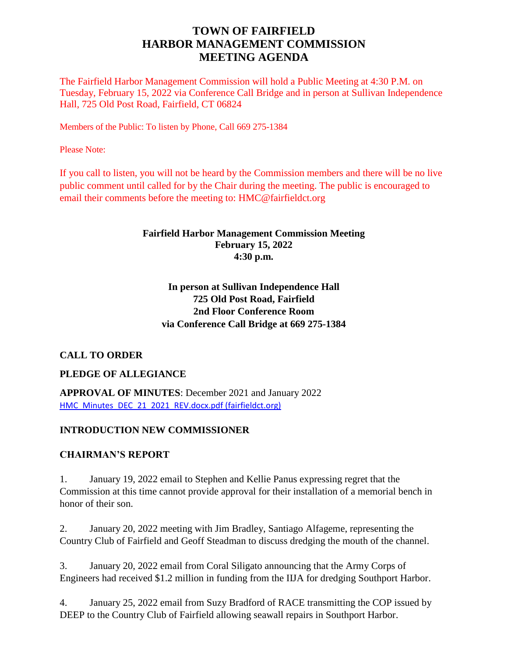# **TOWN OF FAIRFIELD HARBOR MANAGEMENT COMMISSION MEETING AGENDA**

The Fairfield Harbor Management Commission will hold a Public Meeting at 4:30 P.M. on Tuesday, February 15, 2022 via Conference Call Bridge and in person at Sullivan Independence Hall, 725 Old Post Road, Fairfield, CT 06824

Members of the Public: To listen by Phone, Call 669 275-1384

Please Note:

If you call to listen, you will not be heard by the Commission members and there will be no live public comment until called for by the Chair during the meeting. The public is encouraged to email their comments before the meeting to: HMC@fairfieldct.org

### **Fairfield Harbor Management Commission Meeting February 15, 2022 4:30 p.m.**

## **In person at Sullivan Independence Hall 725 Old Post Road, Fairfield 2nd Floor Conference Room via Conference Call Bridge at 669 275-1384**

### **CALL TO ORDER**

### **PLEDGE OF ALLEGIANCE**

**APPROVAL OF MINUTES**: December 2021 and January 2022 [HMC\\_Minutes\\_DEC\\_21\\_2021\\_REV.docx.pdf \(fairfieldct.org\)](https://www.fairfieldct.org/filestorage/10736/12067/17037/66861/94822/116182/HMC_Minutes_DEC_21_2021_REV.docx.pdf)

### **INTRODUCTION NEW COMMISSIONER**

### **CHAIRMAN'S REPORT**

1. January 19, 2022 email to Stephen and Kellie Panus expressing regret that the Commission at this time cannot provide approval for their installation of a memorial bench in honor of their son.

2. January 20, 2022 meeting with Jim Bradley, Santiago Alfageme, representing the Country Club of Fairfield and Geoff Steadman to discuss dredging the mouth of the channel.

3. January 20, 2022 email from Coral Siligato announcing that the Army Corps of Engineers had received \$1.2 million in funding from the IIJA for dredging Southport Harbor.

4. January 25, 2022 email from Suzy Bradford of RACE transmitting the COP issued by DEEP to the Country Club of Fairfield allowing seawall repairs in Southport Harbor.